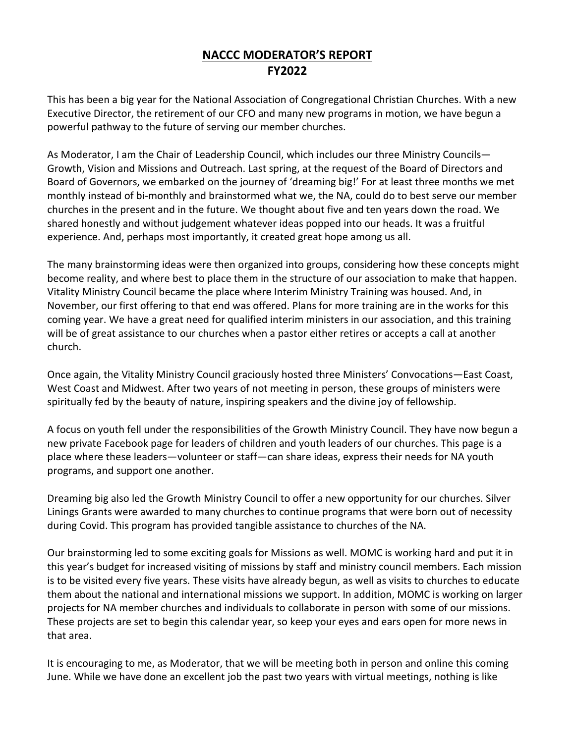## **NACCC MODERATOR'S REPORT FY2022**

This has been a big year for the National Association of Congregational Christian Churches. With a new Executive Director, the retirement of our CFO and many new programs in motion, we have begun a powerful pathway to the future of serving our member churches.

As Moderator, I am the Chair of Leadership Council, which includes our three Ministry Councils— Growth, Vision and Missions and Outreach. Last spring, at the request of the Board of Directors and Board of Governors, we embarked on the journey of 'dreaming big!' For at least three months we met monthly instead of bi-monthly and brainstormed what we, the NA, could do to best serve our member churches in the present and in the future. We thought about five and ten years down the road. We shared honestly and without judgement whatever ideas popped into our heads. It was a fruitful experience. And, perhaps most importantly, it created great hope among us all.

The many brainstorming ideas were then organized into groups, considering how these concepts might become reality, and where best to place them in the structure of our association to make that happen. Vitality Ministry Council became the place where Interim Ministry Training was housed. And, in November, our first offering to that end was offered. Plans for more training are in the works for this coming year. We have a great need for qualified interim ministers in our association, and this training will be of great assistance to our churches when a pastor either retires or accepts a call at another church.

Once again, the Vitality Ministry Council graciously hosted three Ministers' Convocations—East Coast, West Coast and Midwest. After two years of not meeting in person, these groups of ministers were spiritually fed by the beauty of nature, inspiring speakers and the divine joy of fellowship.

A focus on youth fell under the responsibilities of the Growth Ministry Council. They have now begun a new private Facebook page for leaders of children and youth leaders of our churches. This page is a place where these leaders—volunteer or staff—can share ideas, express their needs for NA youth programs, and support one another.

Dreaming big also led the Growth Ministry Council to offer a new opportunity for our churches. Silver Linings Grants were awarded to many churches to continue programs that were born out of necessity during Covid. This program has provided tangible assistance to churches of the NA.

Our brainstorming led to some exciting goals for Missions as well. MOMC is working hard and put it in this year's budget for increased visiting of missions by staff and ministry council members. Each mission is to be visited every five years. These visits have already begun, as well as visits to churches to educate them about the national and international missions we support. In addition, MOMC is working on larger projects for NA member churches and individuals to collaborate in person with some of our missions. These projects are set to begin this calendar year, so keep your eyes and ears open for more news in that area.

It is encouraging to me, as Moderator, that we will be meeting both in person and online this coming June. While we have done an excellent job the past two years with virtual meetings, nothing is like